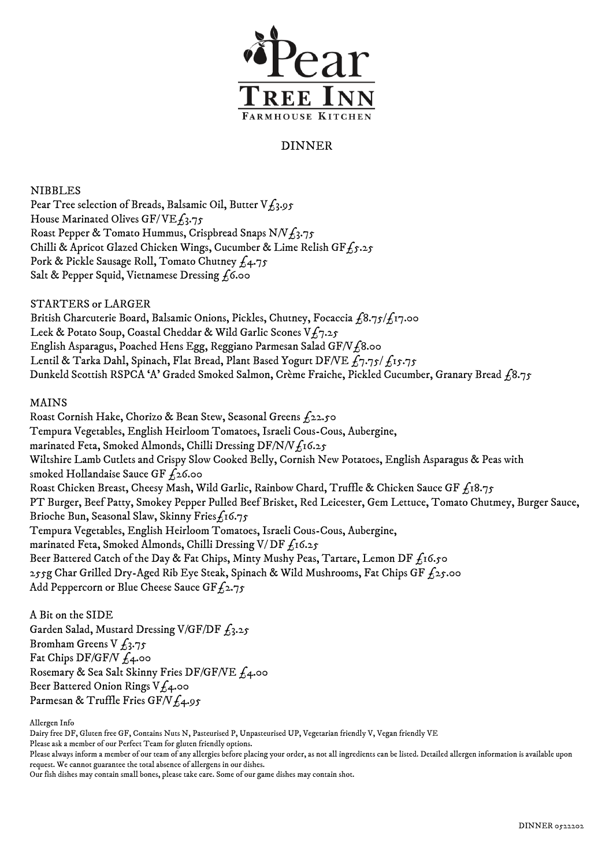

## DINNER

NIBBLES

Pear Tree selection of Breads, Balsamic Oil, Butter  $V_{L_3}$ .95 House Marinated Olives GF/VE $f_3$ .75 Roast Pepper & Tomato Hummus, Crispbread Snaps N/V $f_3$ .75 Chilli & Apricot Glazed Chicken Wings, Cucumber & Lime Relish GF $f_5.25$ Pork & Pickle Sausage Roll, Tomato Chutney  $f_4$ .75 Salt & Pepper Squid, Vietnamese Dressing  $f_1$ 6.00

STARTERS or LARGER

British Charcuterie Board, Balsamic Onions, Pickles, Chutney, Focaccia  $f_3$ 75/ $f_1$ 7.00 Leek & Potato Soup, Coastal Cheddar & Wild Garlic Scones  $Vf_7.25$ English Asparagus, Poached Hens Egg, Reggiano Parmesan Salad GF/V£8.00 Lentil & Tarka Dahl, Spinach, Flat Bread, Plant Based Yogurt DF/VE  $f_7.75/f_15.75$ Dunkeld Scottish RSPCA 'A' Graded Smoked Salmon, Crème Fraiche, Pickled Cucumber, Granary Bread £8.75

## MAINS

 Roast Cornish Hake, Chorizo & Bean Stew, Seasonal Greens £22.50 Tempura Vegetables, English Heirloom Tomatoes, Israeli Cous-Cous, Aubergine, marinated Feta, Smoked Almonds, Chilli Dressing DF/N/V $f_1$ 16.25 Wiltshire Lamb Cutlets and Crispy Slow Cooked Belly, Cornish New Potatoes, English Asparagus & Peas with smoked Hollandaise Sauce GF  $f_2$ 6.00 Roast Chicken Breast, Cheesy Mash, Wild Garlic, Rainbow Chard, Truffle & Chicken Sauce GF  $f_1s_{.75}$ PT Burger, Beef Patty, Smokey Pepper Pulled Beef Brisket, Red Leicester, Gem Lettuce, Tomato Chutmey, Burger Sauce, Brioche Bun, Seasonal Slaw, Skinny Fries£16.75 Tempura Vegetables, English Heirloom Tomatoes, Israeli Cous-Cous, Aubergine, marinated Feta, Smoked Almonds, Chilli Dressing V/DF  $f_1$ 16.25 Beer Battered Catch of the Day & Fat Chips, Minty Mushy Peas, Tartare, Lemon DF  $f_1$ 6.50 255g Char Grilled Dry-Aged Rib Eye Steak, Spinach & Wild Mushrooms, Fat Chips GF  $f_2$ 5.00 Add Peppercorn or Blue Cheese Sauce GF $f_2$ .75

A Bit on the SIDE Garden Salad, Mustard Dressing V/GF/DF  $f_3.25$ Bromham Greens V  $f_3.75$ Fat Chips DF/GF/V  $f_4$ .00 Rosemary & Sea Salt Skinny Fries DF/GF/VE £4.00 Beer Battered Onion Rings  $Vf_4$ .00 Parmesan & Truffle Fries GF/V $f_4.95$ 

Allergen Info

Dairy free DF, Gluten free GF, Contains Nuts N, Pasteurised P, Unpasteurised UP, Vegetarian friendly V, Vegan friendly VE

Please ask a member of our Perfect Team for gluten friendly options.

Our fish dishes may contain small bones, please take care. Some of our game dishes may contain shot.

Please always inform a member of our team of any allergies before placing your order, as not all ingredients can be listed. Detailed allergen information is available upon request. We cannot guarantee the total absence of allergens in our dishes.